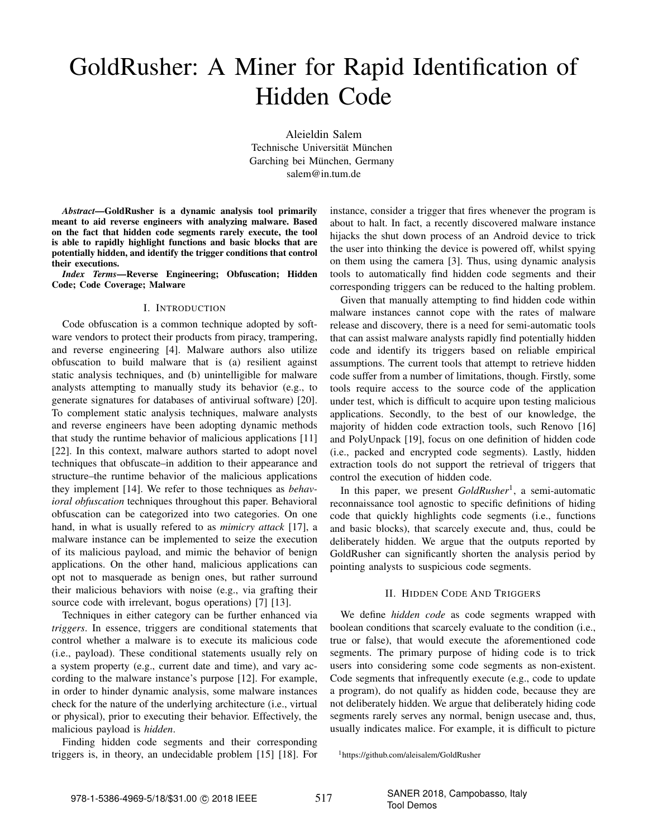# GoldRusher: A Miner for Rapid Identification of Hidden Code

Aleieldin Salem Technische Universität München Garching bei München, Germany salem@in.tum.de

*Abstract*—GoldRusher is a dynamic analysis tool primarily meant to aid reverse engineers with analyzing malware. Based on the fact that hidden code segments rarely execute, the tool is able to rapidly highlight functions and basic blocks that are potentially hidden, and identify the trigger conditions that control their executions.

*Index Terms*—Reverse Engineering; Obfuscation; Hidden Code; Code Coverage; Malware

#### I. INTRODUCTION

Code obfuscation is a common technique adopted by software vendors to protect their products from piracy, trampering, and reverse engineering [4]. Malware authors also utilize obfuscation to build malware that is (a) resilient against static analysis techniques, and (b) unintelligible for malware analysts attempting to manually study its behavior (e.g., to generate signatures for databases of antivirual software) [20]. To complement static analysis techniques, malware analysts and reverse engineers have been adopting dynamic methods that study the runtime behavior of malicious applications [11] [22]. In this context, malware authors started to adopt novel techniques that obfuscate–in addition to their appearance and structure–the runtime behavior of the malicious applications they implement [14]. We refer to those techniques as *behavioral obfuscation* techniques throughout this paper. Behavioral obfuscation can be categorized into two categories. On one hand, in what is usually refered to as *mimicry attack* [17], a malware instance can be implemented to seize the execution of its malicious payload, and mimic the behavior of benign applications. On the other hand, malicious applications can opt not to masquerade as benign ones, but rather surround their malicious behaviors with noise (e.g., via grafting their source code with irrelevant, bogus operations) [7] [13].

Techniques in either category can be further enhanced via *triggers*. In essence, triggers are conditional statements that control whether a malware is to execute its malicious code (i.e., payload). These conditional statements usually rely on a system property (e.g., current date and time), and vary according to the malware instance's purpose [12]. For example, in order to hinder dynamic analysis, some malware instances check for the nature of the underlying architecture (i.e., virtual or physical), prior to executing their behavior. Effectively, the malicious payload is *hidden*.

Finding hidden code segments and their corresponding triggers is, in theory, an undecidable problem [15] [18]. For instance, consider a trigger that fires whenever the program is about to halt. In fact, a recently discovered malware instance hijacks the shut down process of an Android device to trick the user into thinking the device is powered off, whilst spying on them using the camera [3]. Thus, using dynamic analysis tools to automatically find hidden code segments and their corresponding triggers can be reduced to the halting problem.

Given that manually attempting to find hidden code within malware instances cannot cope with the rates of malware release and discovery, there is a need for semi-automatic tools that can assist malware analysts rapidly find potentially hidden code and identify its triggers based on reliable empirical assumptions. The current tools that attempt to retrieve hidden code suffer from a number of limitations, though. Firstly, some tools require access to the source code of the application under test, which is difficult to acquire upon testing malicious applications. Secondly, to the best of our knowledge, the majority of hidden code extraction tools, such Renovo [16] and PolyUnpack [19], focus on one definition of hidden code (i.e., packed and encrypted code segments). Lastly, hidden extraction tools do not support the retrieval of triggers that control the execution of hidden code.

In this paper, we present *GoldRusher*<sup>1</sup> , a semi-automatic reconnaissance tool agnostic to specific definitions of hiding code that quickly highlights code segments (i.e., functions and basic blocks), that scarcely execute and, thus, could be deliberately hidden. We argue that the outputs reported by GoldRusher can significantly shorten the analysis period by pointing analysts to suspicious code segments.

#### II. HIDDEN CODE AND TRIGGERS

We define *hidden code* as code segments wrapped with boolean conditions that scarcely evaluate to the condition (i.e., true or false), that would execute the aforementioned code segments. The primary purpose of hiding code is to trick users into considering some code segments as non-existent. Code segments that infrequently execute (e.g., code to update a program), do not qualify as hidden code, because they are not deliberately hidden. We argue that deliberately hiding code segments rarely serves any normal, benign usecase and, thus, usually indicates malice. For example, it is difficult to picture

<sup>1</sup>https://github.com/aleisalem/GoldRusher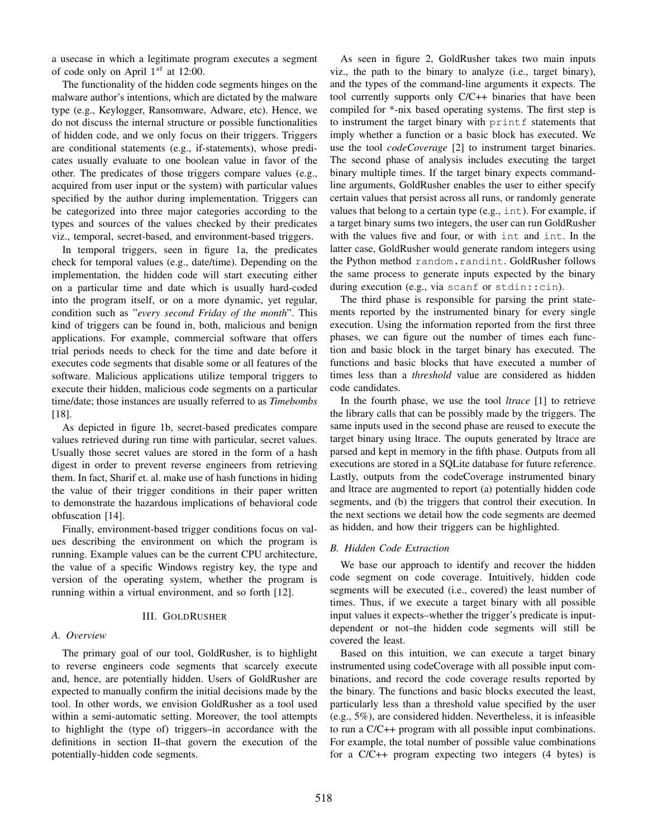a usecase in which a legitimate program executes a segment of code only on April  $1^{st}$  at 12:00.

The functionality of the hidden code segments hinges on the malware author's intentions, which are dictated by the malware type (e.g., Keylogger, Ransomware, Adware, etc). Hence, we do not discuss the internal structure or possible functionalities of hidden code, and we only focus on their triggers. Triggers are conditional statements (e.g., if-statements), whose predicates usually evaluate to one boolean value in favor of the other. The predicates of those triggers compare values (e.g., acquired from user input or the system) with particular values specified by the author during implementation. Triggers can be categorized into three major categories according to the types and sources of the values checked by their predicates viz., temporal, secret-based, and environment-based triggers.

In temporal triggers, seen in figure 1a, the predicates check for temporal values (e.g., date/time). Depending on the implementation, the hidden code will start executing either on a particular time and date which is usually hard-coded into the program itself, or on a more dynamic, yet regular, condition such as "*every second Friday of the month*". This kind of triggers can be found in, both, malicious and benign applications. For example, commercial software that offers trial periods needs to check for the time and date before it executes code segments that disable some or all features of the software. Malicious applications utilize temporal triggers to execute their hidden, malicious code segments on a particular time/date; those instances are usually referred to as *Timebombs* [18].

As depicted in figure 1b, secret-based predicates compare values retrieved during run time with particular, secret values. Usually those secret values are stored in the form of a hash digest in order to prevent reverse engineers from retrieving them. In fact, Sharif et. al. make use of hash functions in hiding the value of their trigger conditions in their paper written to demonstrate the hazardous implications of behavioral code obfuscation [14].

Finally, environment-based trigger conditions focus on values describing the environment on which the program is running. Example values can be the current CPU architecture, the value of a specific Windows registry key, the type and version of the operating system, whether the program is running within a virtual environment, and so forth [12].

#### III. GOLDRUSHER

# *A. Overview*

The primary goal of our tool, GoldRusher, is to highlight to reverse engineers code segments that scarcely execute and, hence, are potentially hidden. Users of GoldRusher are expected to manually confirm the initial decisions made by the tool. In other words, we envision GoldRusher as a tool used within a semi-automatic setting. Moreover, the tool attempts to highlight the (type of) triggers–in accordance with the definitions in section II–that govern the execution of the potentially-hidden code segments.

As seen in figure 2, GoldRusher takes two main inputs viz., the path to the binary to analyze (i.e., target binary), and the types of the command-line arguments it expects. The tool currently supports only C/C++ binaries that have been compiled for \*-nix based operating systems. The first step is to instrument the target binary with printf statements that imply whether a function or a basic block has executed. We use the tool *codeCoverage* [2] to instrument target binaries. The second phase of analysis includes executing the target binary multiple times. If the target binary expects commandline arguments, GoldRusher enables the user to either specify certain values that persist across all runs, or randomly generate values that belong to a certain type (e.g., int). For example, if a target binary sums two integers, the user can run GoldRusher with the values five and four, or with int and int. In the latter case, GoldRusher would generate random integers using the Python method random.randint. GoldRusher follows the same process to generate inputs expected by the binary during execution (e.g., via scanf or stdin::cin).

The third phase is responsible for parsing the print statements reported by the instrumented binary for every single execution. Using the information reported from the first three phases, we can figure out the number of times each function and basic block in the target binary has executed. The functions and basic blocks that have executed a number of times less than a *threshold* value are considered as hidden code candidates.

In the fourth phase, we use the tool *ltrace* [1] to retrieve the library calls that can be possibly made by the triggers. The same inputs used in the second phase are reused to execute the target binary using ltrace. The ouputs generated by ltrace are parsed and kept in memory in the fifth phase. Outputs from all executions are stored in a SQLite database for future reference. Lastly, outputs from the codeCoverage instrumented binary and ltrace are augmented to report (a) potentially hidden code segments, and (b) the triggers that control their execution. In the next sections we detail how the code segments are deemed as hidden, and how their triggers can be highlighted.

### *B. Hidden Code Extraction*

We base our approach to identify and recover the hidden code segment on code coverage. Intuitively, hidden code segments will be executed (i.e., covered) the least number of times. Thus, if we execute a target binary with all possible input values it expects–whether the trigger's predicate is inputdependent or not–the hidden code segments will still be covered the least.

Based on this intuition, we can execute a target binary instrumented using codeCoverage with all possible input combinations, and record the code coverage results reported by the binary. The functions and basic blocks executed the least, particularly less than a threshold value specified by the user (e.g., 5%), are considered hidden. Nevertheless, it is infeasible to run a C/C++ program with all possible input combinations. For example, the total number of possible value combinations for a C/C++ program expecting two integers (4 bytes) is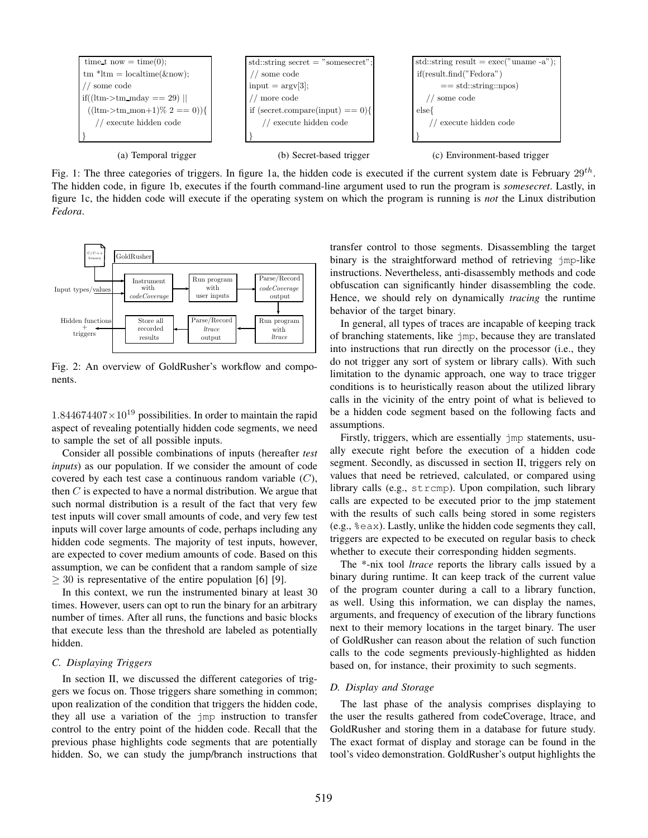

Fig. 1: The three categories of triggers. In figure 1a, the hidden code is executed if the current system date is February  $29^{th}$ . The hidden code, in figure 1b, executes if the fourth command-line argument used to run the program is *somesecret*. Lastly, in figure 1c, the hidden code will execute if the operating system on which the program is running is *not* the Linux distribution *Fedora*.



Fig. 2: An overview of GoldRusher's workflow and components.

 $1.844674407\times10^{19}$  possibilities. In order to maintain the rapid aspect of revealing potentially hidden code segments, we need to sample the set of all possible inputs.

Consider all possible combinations of inputs (hereafter *test inputs*) as our population. If we consider the amount of code covered by each test case a continuous random variable  $(C)$ , then  $C$  is expected to have a normal distribution. We argue that such normal distribution is a result of the fact that very few test inputs will cover small amounts of code, and very few test inputs will cover large amounts of code, perhaps including any hidden code segments. The majority of test inputs, however, are expected to cover medium amounts of code. Based on this assumption, we can be confident that a random sample of size  $>$  30 is representative of the entire population [6] [9].

In this context, we run the instrumented binary at least 30 times. However, users can opt to run the binary for an arbitrary number of times. After all runs, the functions and basic blocks that execute less than the threshold are labeled as potentially hidden.

# *C. Displaying Triggers*

In section II, we discussed the different categories of triggers we focus on. Those triggers share something in common; upon realization of the condition that triggers the hidden code, they all use a variation of the jmp instruction to transfer control to the entry point of the hidden code. Recall that the previous phase highlights code segments that are potentially hidden. So, we can study the jump/branch instructions that transfer control to those segments. Disassembling the target binary is the straightforward method of retrieving jmp-like instructions. Nevertheless, anti-disassembly methods and code obfuscation can significantly hinder disassembling the code. Hence, we should rely on dynamically *tracing* the runtime behavior of the target binary.

In general, all types of traces are incapable of keeping track of branching statements, like jmp, because they are translated into instructions that run directly on the processor (i.e., they do not trigger any sort of system or library calls). With such limitation to the dynamic approach, one way to trace trigger conditions is to heuristically reason about the utilized library calls in the vicinity of the entry point of what is believed to be a hidden code segment based on the following facts and assumptions.

Firstly, triggers, which are essentially jmp statements, usually execute right before the execution of a hidden code segment. Secondly, as discussed in section II, triggers rely on values that need be retrieved, calculated, or compared using library calls (e.g., strcmp). Upon compilation, such library calls are expected to be executed prior to the jmp statement with the results of such calls being stored in some registers (e.g., %eax). Lastly, unlike the hidden code segments they call, triggers are expected to be executed on regular basis to check whether to execute their corresponding hidden segments.

The \*-nix tool *ltrace* reports the library calls issued by a binary during runtime. It can keep track of the current value of the program counter during a call to a library function, as well. Using this information, we can display the names, arguments, and frequency of execution of the library functions next to their memory locations in the target binary. The user of GoldRusher can reason about the relation of such function calls to the code segments previously-highlighted as hidden based on, for instance, their proximity to such segments.

# *D. Display and Storage*

The last phase of the analysis comprises displaying to the user the results gathered from codeCoverage, ltrace, and GoldRusher and storing them in a database for future study. The exact format of display and storage can be found in the tool's video demonstration. GoldRusher's output highlights the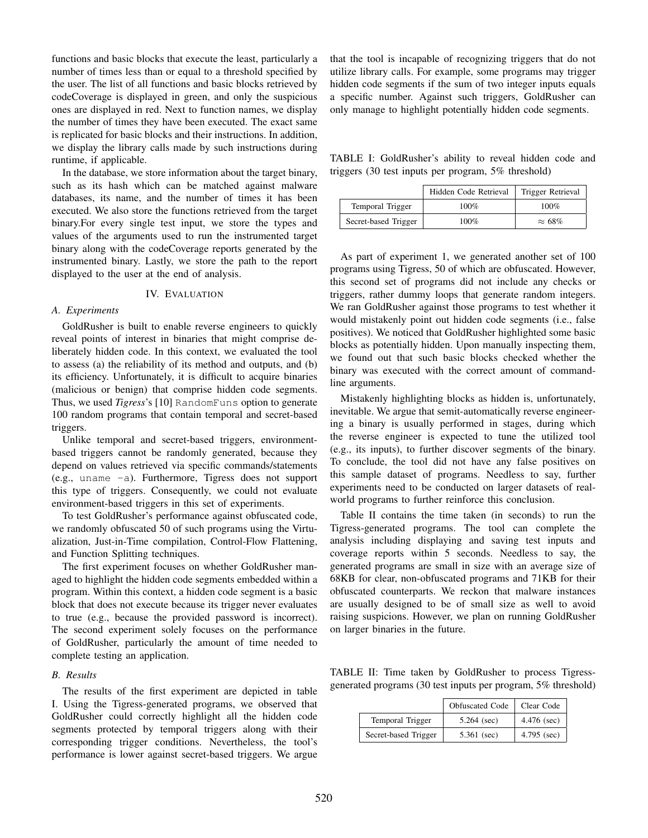functions and basic blocks that execute the least, particularly a number of times less than or equal to a threshold specified by the user. The list of all functions and basic blocks retrieved by codeCoverage is displayed in green, and only the suspicious ones are displayed in red. Next to function names, we display the number of times they have been executed. The exact same is replicated for basic blocks and their instructions. In addition, we display the library calls made by such instructions during runtime, if applicable.

In the database, we store information about the target binary, such as its hash which can be matched against malware databases, its name, and the number of times it has been executed. We also store the functions retrieved from the target binary.For every single test input, we store the types and values of the arguments used to run the instrumented target binary along with the codeCoverage reports generated by the instrumented binary. Lastly, we store the path to the report displayed to the user at the end of analysis.

# IV. EVALUATION

## *A. Experiments*

GoldRusher is built to enable reverse engineers to quickly reveal points of interest in binaries that might comprise deliberately hidden code. In this context, we evaluated the tool to assess (a) the reliability of its method and outputs, and (b) its efficiency. Unfortunately, it is difficult to acquire binaries (malicious or benign) that comprise hidden code segments. Thus, we used *Tigress*'s [10] RandomFuns option to generate 100 random programs that contain temporal and secret-based triggers.

Unlike temporal and secret-based triggers, environmentbased triggers cannot be randomly generated, because they depend on values retrieved via specific commands/statements (e.g., uname -a). Furthermore, Tigress does not support this type of triggers. Consequently, we could not evaluate environment-based triggers in this set of experiments.

To test GoldRusher's performance against obfuscated code, we randomly obfuscated 50 of such programs using the Virtualization, Just-in-Time compilation, Control-Flow Flattening, and Function Splitting techniques.

The first experiment focuses on whether GoldRusher managed to highlight the hidden code segments embedded within a program. Within this context, a hidden code segment is a basic block that does not execute because its trigger never evaluates to true (e.g., because the provided password is incorrect). The second experiment solely focuses on the performance of GoldRusher, particularly the amount of time needed to complete testing an application.

#### *B. Results*

The results of the first experiment are depicted in table I. Using the Tigress-generated programs, we observed that GoldRusher could correctly highlight all the hidden code segments protected by temporal triggers along with their corresponding trigger conditions. Nevertheless, the tool's performance is lower against secret-based triggers. We argue

that the tool is incapable of recognizing triggers that do not utilize library calls. For example, some programs may trigger hidden code segments if the sum of two integer inputs equals a specific number. Against such triggers, GoldRusher can only manage to highlight potentially hidden code segments.

TABLE I: GoldRusher's ability to reveal hidden code and triggers (30 test inputs per program, 5% threshold)

|                      | Hidden Code Retrieval | Trigger Retrieval |
|----------------------|-----------------------|-------------------|
| Temporal Trigger     | 100%                  | 100%              |
| Secret-based Trigger | 100%                  | $\approx 68\%$    |

As part of experiment 1, we generated another set of 100 programs using Tigress, 50 of which are obfuscated. However, this second set of programs did not include any checks or triggers, rather dummy loops that generate random integers. We ran GoldRusher against those programs to test whether it would mistakenly point out hidden code segments (i.e., false positives). We noticed that GoldRusher highlighted some basic blocks as potentially hidden. Upon manually inspecting them, we found out that such basic blocks checked whether the binary was executed with the correct amount of commandline arguments.

Mistakenly highlighting blocks as hidden is, unfortunately, inevitable. We argue that semit-automatically reverse engineering a binary is usually performed in stages, during which the reverse engineer is expected to tune the utilized tool (e.g., its inputs), to further discover segments of the binary. To conclude, the tool did not have any false positives on this sample dataset of programs. Needless to say, further experiments need to be conducted on larger datasets of realworld programs to further reinforce this conclusion.

Table II contains the time taken (in seconds) to run the Tigress-generated programs. The tool can complete the analysis including displaying and saving test inputs and coverage reports within 5 seconds. Needless to say, the generated programs are small in size with an average size of 68KB for clear, non-obfuscated programs and 71KB for their obfuscated counterparts. We reckon that malware instances are usually designed to be of small size as well to avoid raising suspicions. However, we plan on running GoldRusher on larger binaries in the future.

TABLE II: Time taken by GoldRusher to process Tigressgenerated programs (30 test inputs per program, 5% threshold)

|                      | Obfuscated Code | Clear Code    |
|----------------------|-----------------|---------------|
| Temporal Trigger     | $5.264$ (sec)   | $4.476$ (sec) |
| Secret-based Trigger | $5.361$ (sec)   | 4.795 (sec)   |